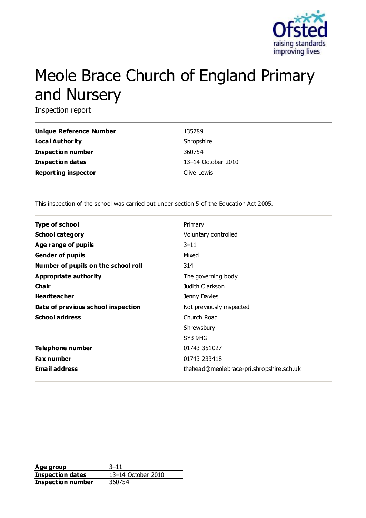

# Meole Brace Church of England Primary and Nursery

Inspection report

| Unique Reference Number    | 135789             |
|----------------------------|--------------------|
| Local Authority            | Shropshire         |
| <b>Inspection number</b>   | 360754             |
| <b>Inspection dates</b>    | 13-14 October 2010 |
| <b>Reporting inspector</b> | Clive Lewis        |

This inspection of the school was carried out under section 5 of the Education Act 2005.

| <b>Type of school</b>               | Primary                                  |
|-------------------------------------|------------------------------------------|
| <b>School category</b>              | Voluntary controlled                     |
| Age range of pupils                 | $3 - 11$                                 |
| <b>Gender of pupils</b>             | Mixed                                    |
| Number of pupils on the school roll | 314                                      |
| Appropriate authority               | The governing body                       |
| Cha ir                              | Judith Clarkson                          |
| <b>Headteacher</b>                  | Jenny Davies                             |
| Date of previous school inspection  | Not previously inspected                 |
| <b>School address</b>               | Church Road                              |
|                                     | Shrewsbury                               |
|                                     | SY3 9HG                                  |
| Telephone number                    | 01743 351027                             |
| <b>Fax number</b>                   | 01743 233418                             |
| <b>Email address</b>                | thehead@meolebrace-pri.shropshire.sch.uk |

**Age group** 3–11 **Inspection dates** 13–14 October 2010 **Inspection number** 360754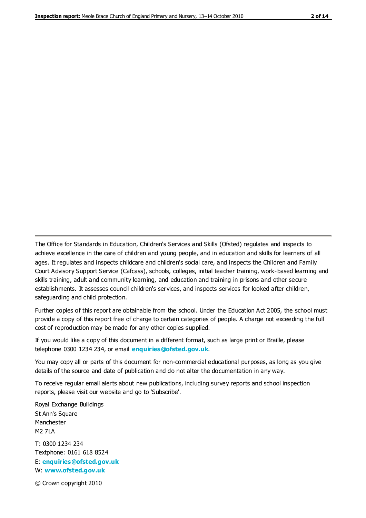The Office for Standards in Education, Children's Services and Skills (Ofsted) regulates and inspects to achieve excellence in the care of children and young people, and in education and skills for learners of all ages. It regulates and inspects childcare and children's social care, and inspects the Children and Family Court Advisory Support Service (Cafcass), schools, colleges, initial teacher training, work-based learning and skills training, adult and community learning, and education and training in prisons and other secure establishments. It assesses council children's services, and inspects services for looked after children, safeguarding and child protection.

Further copies of this report are obtainable from the school. Under the Education Act 2005, the school must provide a copy of this report free of charge to certain categories of people. A charge not exceeding the full cost of reproduction may be made for any other copies supplied.

If you would like a copy of this document in a different format, such as large print or Braille, please telephone 0300 1234 234, or email **[enquiries@ofsted.gov.uk](mailto:enquiries@ofsted.gov.uk)**.

You may copy all or parts of this document for non-commercial educational purposes, as long as you give details of the source and date of publication and do not alter the documentation in any way.

To receive regular email alerts about new publications, including survey reports and school inspection reports, please visit our website and go to 'Subscribe'.

Royal Exchange Buildings St Ann's Square Manchester M2 7LA T: 0300 1234 234 Textphone: 0161 618 8524 E: **[enquiries@ofsted.gov.uk](mailto:enquiries@ofsted.gov.uk)**

W: **[www.ofsted.gov.uk](http://www.ofsted.gov.uk/)**

© Crown copyright 2010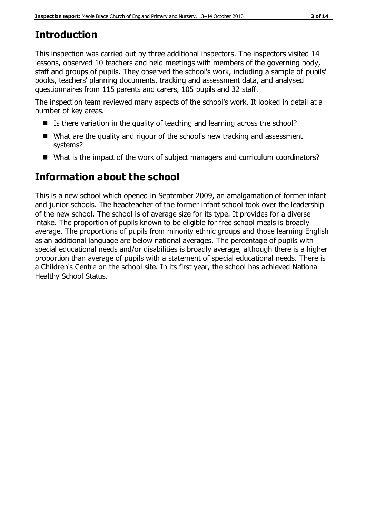# **Introduction**

This inspection was carried out by three additional inspectors. The inspectors visited 14 lessons, observed 10 teachers and held meetings with members of the governing body, staff and groups of pupils. They observed the school's work, including a sample of pupils' books, teachers' planning documents, tracking and assessment data, and analysed questionnaires from 115 parents and carers, 105 pupils and 32 staff.

The inspection team reviewed many aspects of the school's work. It looked in detail at a number of key areas.

- Is there variation in the quality of teaching and learning across the school?
- What are the quality and rigour of the school's new tracking and assessment systems?
- What is the impact of the work of subject managers and curriculum coordinators?

# **Information about the school**

This is a new school which opened in September 2009, an amalgamation of former infant and junior schools. The headteacher of the former infant school took over the leadership of the new school. The school is of average size for its type. It provides for a diverse intake. The proportion of pupils known to be eligible for free school meals is broadly average. The proportions of pupils from minority ethnic groups and those learning English as an additional language are below national averages. The percentage of pupils with special educational needs and/or disabilities is broadly average, although there is a higher proportion than average of pupils with a statement of special educational needs. There is a Children's Centre on the school site. In its first year, the school has achieved National Healthy School Status.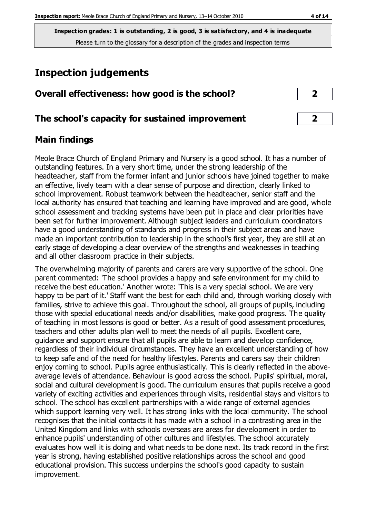# **Inspection judgements**

| Overall effectiveness: how good is the school? |  |
|------------------------------------------------|--|
|------------------------------------------------|--|

## **The school's capacity for sustained improvement 2**

## **Main findings**

Meole Brace Church of England Primary and Nursery is a good school. It has a number of outstanding features. In a very short time, under the strong leadership of the headteacher, staff from the former infant and junior schools have joined together to make an effective, lively team with a clear sense of purpose and direction, clearly linked to school improvement. Robust teamwork between the headteacher, senior staff and the local authority has ensured that teaching and learning have improved and are good, whole school assessment and tracking systems have been put in place and clear priorities have been set for further improvement. Although subject leaders and curriculum coordinators have a good understanding of standards and progress in their subject areas and have made an important contribution to leadership in the school's first year, they are still at an early stage of developing a clear overview of the strengths and weaknesses in teaching and all other classroom practice in their subjects.

The overwhelming majority of parents and carers are very supportive of the school. One parent commented: 'The school provides a happy and safe environment for my child to receive the best education.' Another wrote: 'This is a very special school. We are very happy to be part of it.' Staff want the best for each child and, through working closely with families, strive to achieve this goal. Throughout the school, all groups of pupils, including those with special educational needs and/or disabilities, make good progress. The quality of teaching in most lessons is good or better. As a result of good assessment procedures, teachers and other adults plan well to meet the needs of all pupils. Excellent care, guidance and support ensure that all pupils are able to learn and develop confidence, regardless of their individual circumstances. They have an excellent understanding of how to keep safe and of the need for healthy lifestyles. Parents and carers say their children enjoy coming to school. Pupils agree enthusiastically. This is clearly reflected in the aboveaverage levels of attendance. Behaviour is good across the school. Pupils' spiritual, moral, social and cultural development is good. The curriculum ensures that pupils receive a good variety of exciting activities and experiences through visits, residential stays and visitors to school. The school has excellent partnerships with a wide range of external agencies which support learning very well. It has strong links with the local community. The school recognises that the initial contacts it has made with a school in a contrasting area in the United Kingdom and links with schools overseas are areas for development in order to enhance pupils' understanding of other cultures and lifestyles. The school accurately evaluates how well it is doing and what needs to be done next. Its track record in the first year is strong, having established positive relationships across the school and good educational provision. This success underpins the school's good capacity to sustain improvement.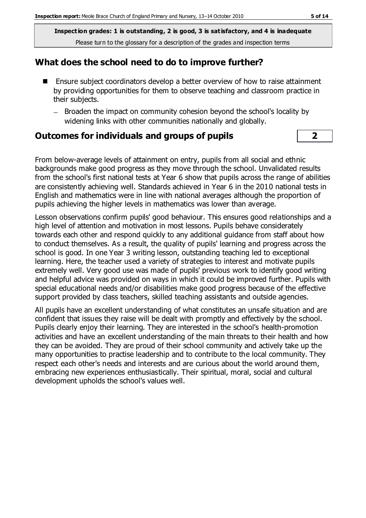#### **What does the school need to do to improve further?**

- Ensure subject coordinators develop a better overview of how to raise attainment by providing opportunities for them to observe teaching and classroom practice in their subjects.
	- Broaden the impact on community cohesion beyond the school's locality by widening links with other communities nationally and globally.

#### **Outcomes for individuals and groups of pupils 2**

From below-average levels of attainment on entry, pupils from all social and ethnic backgrounds make good progress as they move through the school. Unvalidated results from the school's first national tests at Year 6 show that pupils across the range of abilities are consistently achieving well. Standards achieved in Year 6 in the 2010 national tests in English and mathematics were in line with national averages although the proportion of pupils achieving the higher levels in mathematics was lower than average.

Lesson observations confirm pupils' good behaviour. This ensures good relationships and a high level of attention and motivation in most lessons. Pupils behave considerately towards each other and respond quickly to any additional guidance from staff about how to conduct themselves. As a result, the quality of pupils' learning and progress across the school is good. In one Year 3 writing lesson, outstanding teaching led to exceptional learning. Here, the teacher used a variety of strategies to interest and motivate pupils extremely well. Very good use was made of pupils' previous work to identify good writing and helpful advice was provided on ways in which it could be improved further. Pupils with special educational needs and/or disabilities make good progress because of the effective support provided by class teachers, skilled teaching assistants and outside agencies.

All pupils have an excellent understanding of what constitutes an unsafe situation and are confident that issues they raise will be dealt with promptly and effectively by the school. Pupils clearly enjoy their learning. They are interested in the school's health-promotion activities and have an excellent understanding of the main threats to their health and how they can be avoided. They are proud of their school community and actively take up the many opportunities to practise leadership and to contribute to the local community. They respect each other's needs and interests and are curious about the world around them, embracing new experiences enthusiastically. Their spiritual, moral, social and cultural development upholds the school's values well.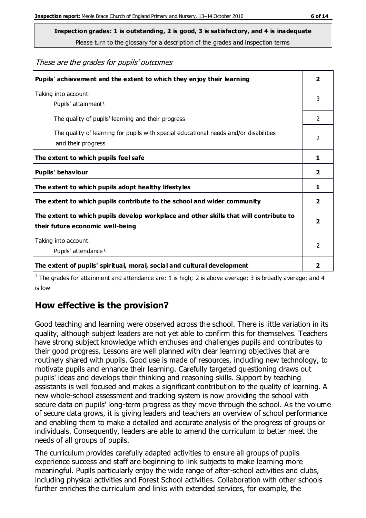**Inspection grades: 1 is outstanding, 2 is good, 3 is satisfactory, and 4 is inadequate**

Please turn to the glossary for a description of the grades and inspection terms

#### These are the grades for pupils' outcomes

| Pupils' achievement and the extent to which they enjoy their learning                                                     | $\overline{2}$          |
|---------------------------------------------------------------------------------------------------------------------------|-------------------------|
| Taking into account:<br>Pupils' attainment <sup>1</sup>                                                                   | 3                       |
| The quality of pupils' learning and their progress                                                                        | $\mathcal{P}$           |
| The quality of learning for pupils with special educational needs and/or disabilities<br>and their progress               | 2                       |
| The extent to which pupils feel safe                                                                                      | 1                       |
| Pupils' behaviour                                                                                                         |                         |
| The extent to which pupils adopt healthy lifestyles                                                                       | 1                       |
| The extent to which pupils contribute to the school and wider community                                                   | 2                       |
| The extent to which pupils develop workplace and other skills that will contribute to<br>their future economic well-being | $\overline{\mathbf{2}}$ |
| Taking into account:<br>Pupils' attendance <sup>1</sup>                                                                   | $\mathfrak{D}$          |
| The extent of pupils' spiritual, moral, social and cultural development                                                   | 2                       |

<sup>1</sup> The grades for attainment and attendance are: 1 is high; 2 is above average; 3 is broadly average; and 4 is low

## **How effective is the provision?**

Good teaching and learning were observed across the school. There is little variation in its quality, although subject leaders are not yet able to confirm this for themselves. Teachers have strong subject knowledge which enthuses and challenges pupils and contributes to their good progress. Lessons are well planned with clear learning objectives that are routinely shared with pupils. Good use is made of resources, including new technology, to motivate pupils and enhance their learning. Carefully targeted questioning draws out pupils' ideas and develops their thinking and reasoning skills. Support by teaching assistants is well focused and makes a significant contribution to the quality of learning. A new whole-school assessment and tracking system is now providing the school with secure data on pupils' long-term progress as they move through the school. As the volume of secure data grows, it is giving leaders and teachers an overview of school performance and enabling them to make a detailed and accurate analysis of the progress of groups or individuals. Consequently, leaders are able to amend the curriculum to better meet the needs of all groups of pupils.

The curriculum provides carefully adapted activities to ensure all groups of pupils experience success and staff are beginning to link subjects to make learning more meaningful. Pupils particularly enjoy the wide range of after-school activities and clubs, including physical activities and Forest School activities. Collaboration with other schools further enriches the curriculum and links with extended services, for example, the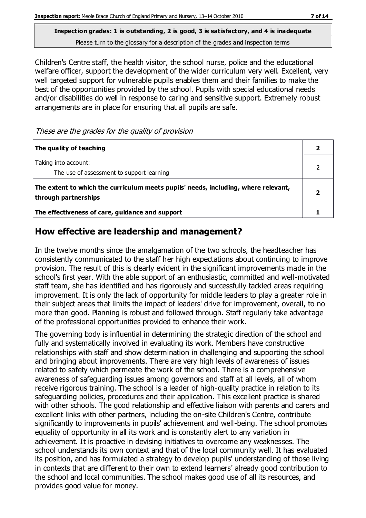Children's Centre staff, the health visitor, the school nurse, police and the educational welfare officer, support the development of the wider curriculum very well. Excellent, very well targeted support for vulnerable pupils enables them and their families to make the best of the opportunities provided by the school. Pupils with special educational needs and/or disabilities do well in response to caring and sensitive support. Extremely robust arrangements are in place for ensuring that all pupils are safe.

These are the grades for the quality of provision

| The quality of teaching                                                                                    |  |
|------------------------------------------------------------------------------------------------------------|--|
| Taking into account:<br>The use of assessment to support learning                                          |  |
| The extent to which the curriculum meets pupils' needs, including, where relevant,<br>through partnerships |  |
| The effectiveness of care, guidance and support                                                            |  |

## **How effective are leadership and management?**

In the twelve months since the amalgamation of the two schools, the headteacher has consistently communicated to the staff her high expectations about continuing to improve provision. The result of this is clearly evident in the significant improvements made in the school's first year. With the able support of an enthusiastic, committed and well-motivated staff team, she has identified and has rigorously and successfully tackled areas requiring improvement. It is only the lack of opportunity for middle leaders to play a greater role in their subject areas that limits the impact of leaders' drive for improvement, overall, to no more than good. Planning is robust and followed through. Staff regularly take advantage of the professional opportunities provided to enhance their work.

The governing body is influential in determining the strategic direction of the school and fully and systematically involved in evaluating its work. Members have constructive relationships with staff and show determination in challenging and supporting the school and bringing about improvements. There are very high levels of awareness of issues related to safety which permeate the work of the school. There is a comprehensive awareness of safeguarding issues among governors and staff at all levels, all of whom receive rigorous training. The school is a leader of high-quality practice in relation to its safeguarding policies, procedures and their application. This excellent practice is shared with other schools. The good relationship and effective liaison with parents and carers and excellent links with other partners, including the on-site Children's Centre, contribute significantly to improvements in pupils' achievement and well-being. The school promotes equality of opportunity in all its work and is constantly alert to any variation in achievement. It is proactive in devising initiatives to overcome any weaknesses. The school understands its own context and that of the local community well. It has evaluated its position, and has formulated a strategy to develop pupils' understanding of those living in contexts that are different to their own to extend learners' already good contribution to the school and local communities. The school makes good use of all its resources, and provides good value for money.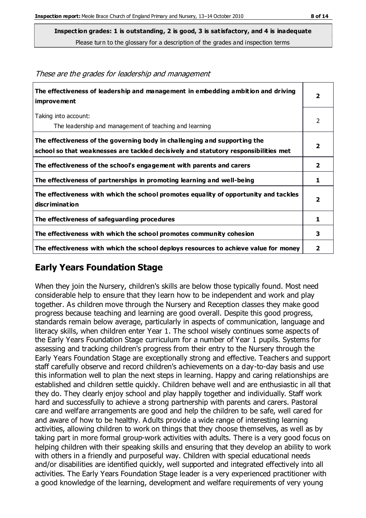Please turn to the glossary for a description of the grades and inspection terms

| The effectiveness of leadership and management in embedding ambition and driving<br><b>improvement</b>                                                           | $\overline{\mathbf{2}}$ |
|------------------------------------------------------------------------------------------------------------------------------------------------------------------|-------------------------|
| Taking into account:                                                                                                                                             | 2                       |
| The leadership and management of teaching and learning                                                                                                           |                         |
| The effectiveness of the governing body in challenging and supporting the<br>school so that weaknesses are tackled decisively and statutory responsibilities met | $\overline{\mathbf{2}}$ |
| The effectiveness of the school's engagement with parents and carers                                                                                             | $\mathbf{2}$            |
| The effectiveness of partnerships in promoting learning and well-being                                                                                           | 1                       |
| The effectiveness with which the school promotes equality of opportunity and tackles<br>discrimination                                                           | $\overline{\mathbf{2}}$ |
| The effectiveness of safeguarding procedures                                                                                                                     | 1                       |
| The effectiveness with which the school promotes community cohesion                                                                                              | 3                       |
| The effectiveness with which the school deploys resources to achieve value for money                                                                             | 2                       |

#### These are the grades for leadership and management

## **Early Years Foundation Stage**

When they join the Nursery, children's skills are below those typically found. Most need considerable help to ensure that they learn how to be independent and work and play together. As children move through the Nursery and Reception classes they make good progress because teaching and learning are good overall. Despite this good progress, standards remain below average, particularly in aspects of communication, language and literacy skills, when children enter Year 1. The school wisely continues some aspects of the Early Years Foundation Stage curriculum for a number of Year 1 pupils. Systems for assessing and tracking children's progress from their entry to the Nursery through the Early Years Foundation Stage are exceptionally strong and effective. Teachers and support staff carefully observe and record children's achievements on a day-to-day basis and use this information well to plan the next steps in learning. Happy and caring relationships are established and children settle quickly. Children behave well and are enthusiastic in all that they do. They clearly enjoy school and play happily together and individually. Staff work hard and successfully to achieve a strong partnership with parents and carers. Pastoral care and welfare arrangements are good and help the children to be safe, well cared for and aware of how to be healthy. Adults provide a wide range of interesting learning activities, allowing children to work on things that they choose themselves, as well as by taking part in more formal group-work activities with adults. There is a very good focus on helping children with their speaking skills and ensuring that they develop an ability to work with others in a friendly and purposeful way. Children with special educational needs and/or disabilities are identified quickly, well supported and integrated effectively into all activities. The Early Years Foundation Stage leader is a very experienced practitioner with a good knowledge of the learning, development and welfare requirements of very young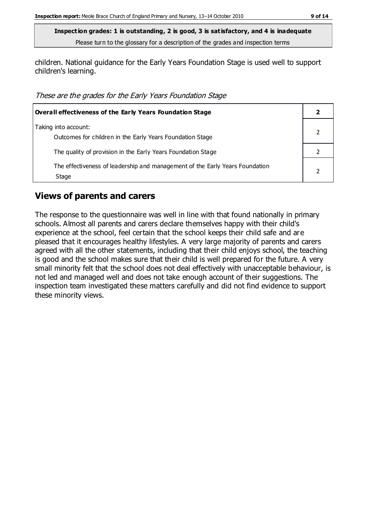children. National guidance for the Early Years Foundation Stage is used well to support children's learning.

These are the grades for the Early Years Foundation Stage

| <b>Overall effectiveness of the Early Years Foundation Stage</b>                      |  |
|---------------------------------------------------------------------------------------|--|
| Taking into account:<br>Outcomes for children in the Early Years Foundation Stage     |  |
| The quality of provision in the Early Years Foundation Stage                          |  |
| The effectiveness of leadership and management of the Early Years Foundation<br>Stage |  |

#### **Views of parents and carers**

The response to the questionnaire was well in line with that found nationally in primary schools. Almost all parents and carers declare themselves happy with their child's experience at the school, feel certain that the school keeps their child safe and are pleased that it encourages healthy lifestyles. A very large majority of parents and carers agreed with all the other statements, including that their child enjoys school, the teaching is good and the school makes sure that their child is well prepared for the future. A very small minority felt that the school does not deal effectively with unacceptable behaviour, is not led and managed well and does not take enough account of their suggestions. The inspection team investigated these matters carefully and did not find evidence to support these minority views.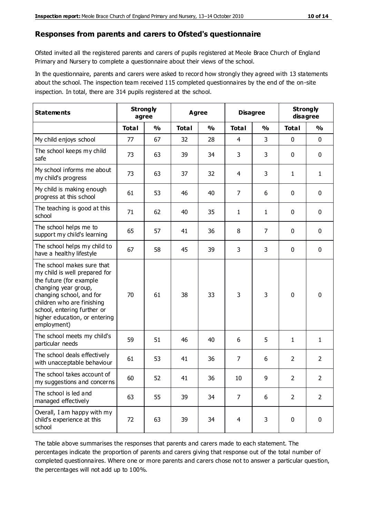#### **Responses from parents and carers to Ofsted's questionnaire**

Ofsted invited all the registered parents and carers of pupils registered at Meole Brace Church of England Primary and Nursery to complete a questionnaire about their views of the school.

In the questionnaire, parents and carers were asked to record how strongly they agreed with 13 statements about the school. The inspection team received 115 completed questionnaires by the end of the on-site inspection. In total, there are 314 pupils registered at the school.

| <b>Statements</b>                                                                                                                                                                                                                                       | <b>Strongly</b><br>agree |               | Agree        |               |                | <b>Disagree</b> |                | <b>Strongly</b><br>disagree |  |
|---------------------------------------------------------------------------------------------------------------------------------------------------------------------------------------------------------------------------------------------------------|--------------------------|---------------|--------------|---------------|----------------|-----------------|----------------|-----------------------------|--|
|                                                                                                                                                                                                                                                         | <b>Total</b>             | $\frac{0}{0}$ | <b>Total</b> | $\frac{0}{0}$ | <b>Total</b>   | $\frac{0}{0}$   | <b>Total</b>   | $\frac{0}{0}$               |  |
| My child enjoys school                                                                                                                                                                                                                                  | 77                       | 67            | 32           | 28            | 4              | 3               | $\mathbf 0$    | $\mathbf 0$                 |  |
| The school keeps my child<br>safe                                                                                                                                                                                                                       | 73                       | 63            | 39           | 34            | 3              | 3               | $\mathbf 0$    | $\mathbf 0$                 |  |
| My school informs me about<br>my child's progress                                                                                                                                                                                                       | 73                       | 63            | 37           | 32            | 4              | 3               | $\mathbf{1}$   | $\mathbf{1}$                |  |
| My child is making enough<br>progress at this school                                                                                                                                                                                                    | 61                       | 53            | 46           | 40            | 7              | 6               | 0              | $\mathbf 0$                 |  |
| The teaching is good at this<br>school                                                                                                                                                                                                                  | 71                       | 62            | 40           | 35            | 1              | $\mathbf{1}$    | $\mathbf 0$    | $\mathbf 0$                 |  |
| The school helps me to<br>support my child's learning                                                                                                                                                                                                   | 65                       | 57            | 41           | 36            | 8              | $\overline{7}$  | $\mathbf 0$    | $\mathbf 0$                 |  |
| The school helps my child to<br>have a healthy lifestyle                                                                                                                                                                                                | 67                       | 58            | 45           | 39            | 3              | 3               | $\mathbf 0$    | $\mathbf 0$                 |  |
| The school makes sure that<br>my child is well prepared for<br>the future (for example<br>changing year group,<br>changing school, and for<br>children who are finishing<br>school, entering further or<br>higher education, or entering<br>employment) | 70                       | 61            | 38           | 33            | 3              | 3               | $\mathbf 0$    | $\mathbf 0$                 |  |
| The school meets my child's<br>particular needs                                                                                                                                                                                                         | 59                       | 51            | 46           | 40            | 6              | 5               | 1              | $\mathbf{1}$                |  |
| The school deals effectively<br>with unacceptable behaviour                                                                                                                                                                                             | 61                       | 53            | 41           | 36            | 7              | 6               | $\overline{2}$ | $\overline{2}$              |  |
| The school takes account of<br>my suggestions and concerns                                                                                                                                                                                              | 60                       | 52            | 41           | 36            | $10\,$         | 9               | $\overline{2}$ | 2                           |  |
| The school is led and<br>managed effectively                                                                                                                                                                                                            | 63                       | 55            | 39           | 34            | $\overline{7}$ | 6               | $\overline{2}$ | $\overline{2}$              |  |
| Overall, I am happy with my<br>child's experience at this<br>school                                                                                                                                                                                     | 72                       | 63            | 39           | 34            | $\overline{4}$ | 3               | $\mathbf 0$    | $\mathbf 0$                 |  |

The table above summarises the responses that parents and carers made to each statement. The percentages indicate the proportion of parents and carers giving that response out of the total number of completed questionnaires. Where one or more parents and carers chose not to answer a particular question, the percentages will not add up to 100%.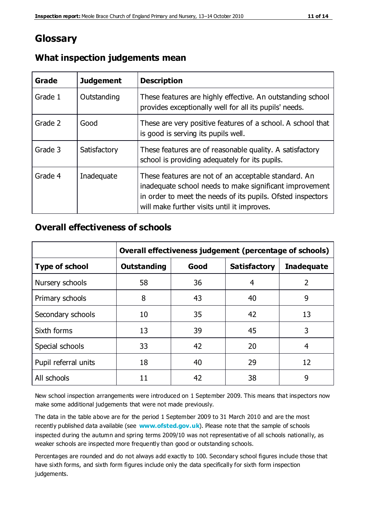## **Glossary**

| Grade   | <b>Judgement</b> | <b>Description</b>                                                                                                                                                                                                            |
|---------|------------------|-------------------------------------------------------------------------------------------------------------------------------------------------------------------------------------------------------------------------------|
| Grade 1 | Outstanding      | These features are highly effective. An outstanding school<br>provides exceptionally well for all its pupils' needs.                                                                                                          |
| Grade 2 | Good             | These are very positive features of a school. A school that<br>is good is serving its pupils well.                                                                                                                            |
| Grade 3 | Satisfactory     | These features are of reasonable quality. A satisfactory<br>school is providing adequately for its pupils.                                                                                                                    |
| Grade 4 | Inadequate       | These features are not of an acceptable standard. An<br>inadequate school needs to make significant improvement<br>in order to meet the needs of its pupils. Ofsted inspectors<br>will make further visits until it improves. |

#### **What inspection judgements mean**

#### **Overall effectiveness of schools**

|                       | Overall effectiveness judgement (percentage of schools) |      |                     |                   |
|-----------------------|---------------------------------------------------------|------|---------------------|-------------------|
| <b>Type of school</b> | <b>Outstanding</b>                                      | Good | <b>Satisfactory</b> | <b>Inadequate</b> |
| Nursery schools       | 58                                                      | 36   | 4                   | $\overline{2}$    |
| Primary schools       | 8                                                       | 43   | 40                  | 9                 |
| Secondary schools     | 10                                                      | 35   | 42                  | 13                |
| Sixth forms           | 13                                                      | 39   | 45                  | 3                 |
| Special schools       | 33                                                      | 42   | 20                  | 4                 |
| Pupil referral units  | 18                                                      | 40   | 29                  | 12                |
| All schools           | 11                                                      | 42   | 38                  | 9                 |

New school inspection arrangements were introduced on 1 September 2009. This means that inspectors now make some additional judgements that were not made previously.

The data in the table above are for the period 1 September 2009 to 31 March 2010 and are the most recently published data available (see **[www.ofsted.gov.uk](http://www.ofsted.gov.uk/)**). Please note that the sample of schools inspected during the autumn and spring terms 2009/10 was not representative of all schools nationally, as weaker schools are inspected more frequently than good or outstanding schools.

Percentages are rounded and do not always add exactly to 100. Secondary school figures include those that have sixth forms, and sixth form figures include only the data specifically for sixth form inspection judgements.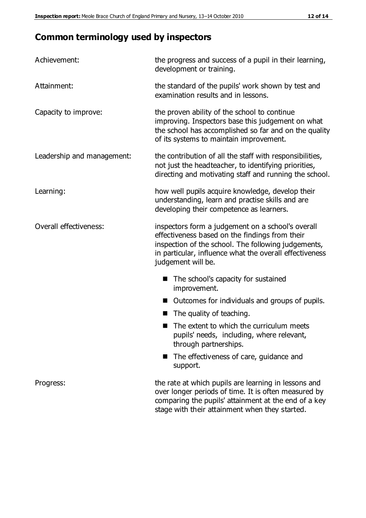# **Common terminology used by inspectors**

| Achievement:                  | the progress and success of a pupil in their learning,<br>development or training.                                                                                                                                                          |
|-------------------------------|---------------------------------------------------------------------------------------------------------------------------------------------------------------------------------------------------------------------------------------------|
| Attainment:                   | the standard of the pupils' work shown by test and<br>examination results and in lessons.                                                                                                                                                   |
| Capacity to improve:          | the proven ability of the school to continue<br>improving. Inspectors base this judgement on what<br>the school has accomplished so far and on the quality<br>of its systems to maintain improvement.                                       |
| Leadership and management:    | the contribution of all the staff with responsibilities,<br>not just the headteacher, to identifying priorities,<br>directing and motivating staff and running the school.                                                                  |
| Learning:                     | how well pupils acquire knowledge, develop their<br>understanding, learn and practise skills and are<br>developing their competence as learners.                                                                                            |
| <b>Overall effectiveness:</b> | inspectors form a judgement on a school's overall<br>effectiveness based on the findings from their<br>inspection of the school. The following judgements,<br>in particular, influence what the overall effectiveness<br>judgement will be. |
|                               | The school's capacity for sustained<br>improvement.                                                                                                                                                                                         |
|                               | Outcomes for individuals and groups of pupils.                                                                                                                                                                                              |
|                               | The quality of teaching.                                                                                                                                                                                                                    |
|                               | The extent to which the curriculum meets<br>pupils' needs, including, where relevant,<br>through partnerships.                                                                                                                              |
|                               | The effectiveness of care, guidance and<br>support.                                                                                                                                                                                         |
| Progress:                     | the rate at which pupils are learning in lessons and<br>over longer periods of time. It is often measured by<br>comparing the pupils' attainment at the end of a key                                                                        |

stage with their attainment when they started.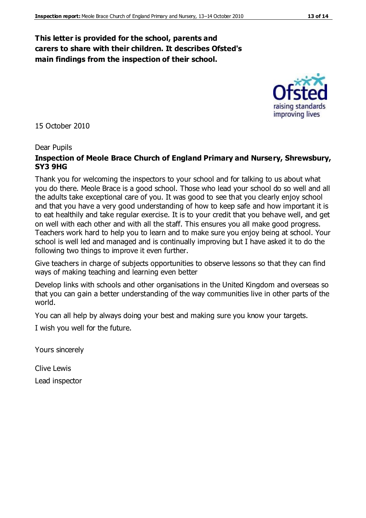#### **This letter is provided for the school, parents and carers to share with their children. It describes Ofsted's main findings from the inspection of their school.**

15 October 2010

#### Dear Pupils

#### **Inspection of Meole Brace Church of England Primary and Nursery, Shrewsbury, SY3 9HG**

Thank you for welcoming the inspectors to your school and for talking to us about what you do there. Meole Brace is a good school. Those who lead your school do so well and all the adults take exceptional care of you. It was good to see that you clearly enjoy school and that you have a very good understanding of how to keep safe and how important it is to eat healthily and take regular exercise. It is to your credit that you behave well, and get on well with each other and with all the staff. This ensures you all make good progress. Teachers work hard to help you to learn and to make sure you enjoy being at school. Your school is well led and managed and is continually improving but I have asked it to do the following two things to improve it even further.

Give teachers in charge of subjects opportunities to observe lessons so that they can find ways of making teaching and learning even better

Develop links with schools and other organisations in the United Kingdom and overseas so that you can gain a better understanding of the way communities live in other parts of the world.

You can all help by always doing your best and making sure you know your targets.

I wish you well for the future.

Yours sincerely

Clive Lewis Lead inspector